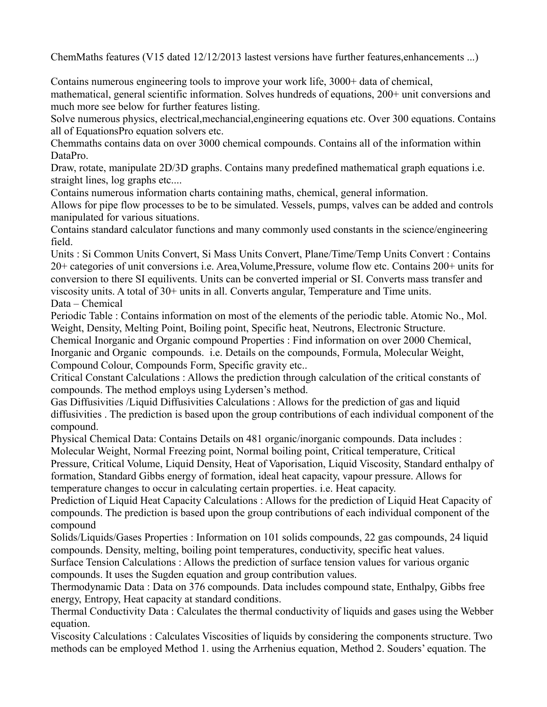ChemMaths features (V15 dated 12/12/2013 lastest versions have further features,enhancements ...)

Contains numerous engineering tools to improve your work life, 3000+ data of chemical,

mathematical, general scientific information. Solves hundreds of equations, 200+ unit conversions and much more see below for further features listing.

Solve numerous physics, electrical,mechancial,engineering equations etc. Over 300 equations. Contains all of EquationsPro equation solvers etc.

Chemmaths contains data on over 3000 chemical compounds. Contains all of the information within DataPro.

Draw, rotate, manipulate 2D/3D graphs. Contains many predefined mathematical graph equations i.e. straight lines, log graphs etc....

Contains numerous information charts containing maths, chemical, general information.

Allows for pipe flow processes to be to be simulated. Vessels, pumps, valves can be added and controls manipulated for various situations.

Contains standard calculator functions and many commonly used constants in the science/engineering field.

Units : Si Common Units Convert, Si Mass Units Convert, Plane/Time/Temp Units Convert : Contains 20+ categories of unit conversions i.e. Area,Volume,Pressure, volume flow etc. Contains 200+ units for conversion to there SI equilivents. Units can be converted imperial or SI. Converts mass transfer and viscosity units. A total of 30+ units in all. Converts angular, Temperature and Time units. Data – Chemical

Periodic Table : Contains information on most of the elements of the periodic table. Atomic No., Mol. Weight, Density, Melting Point, Boiling point, Specific heat, Neutrons, Electronic Structure.

Chemical Inorganic and Organic compound Properties : Find information on over 2000 Chemical,

Inorganic and Organic compounds. i.e. Details on the compounds, Formula, Molecular Weight, Compound Colour, Compounds Form, Specific gravity etc..

Critical Constant Calculations : Allows the prediction through calculation of the critical constants of compounds. The method employs using Lydersen's method.

Gas Diffusivities /Liquid Diffusivities Calculations : Allows for the prediction of gas and liquid diffusivities . The prediction is based upon the group contributions of each individual component of the compound.

Physical Chemical Data: Contains Details on 481 organic/inorganic compounds. Data includes : Molecular Weight, Normal Freezing point, Normal boiling point, Critical temperature, Critical

Pressure, Critical Volume, Liquid Density, Heat of Vaporisation, Liquid Viscosity, Standard enthalpy of formation, Standard Gibbs energy of formation, ideal heat capacity, vapour pressure. Allows for temperature changes to occur in calculating certain properties. i.e. Heat capacity.

Prediction of Liquid Heat Capacity Calculations : Allows for the prediction of Liquid Heat Capacity of compounds. The prediction is based upon the group contributions of each individual component of the compound

Solids/Liquids/Gases Properties : Information on 101 solids compounds, 22 gas compounds, 24 liquid compounds. Density, melting, boiling point temperatures, conductivity, specific heat values.

Surface Tension Calculations : Allows the prediction of surface tension values for various organic compounds. It uses the Sugden equation and group contribution values.

Thermodynamic Data : Data on 376 compounds. Data includes compound state, Enthalpy, Gibbs free energy, Entropy, Heat capacity at standard conditions.

Thermal Conductivity Data : Calculates the thermal conductivity of liquids and gases using the Webber equation.

Viscosity Calculations : Calculates Viscosities of liquids by considering the components structure. Two methods can be employed Method 1. using the Arrhenius equation, Method 2. Souders' equation. The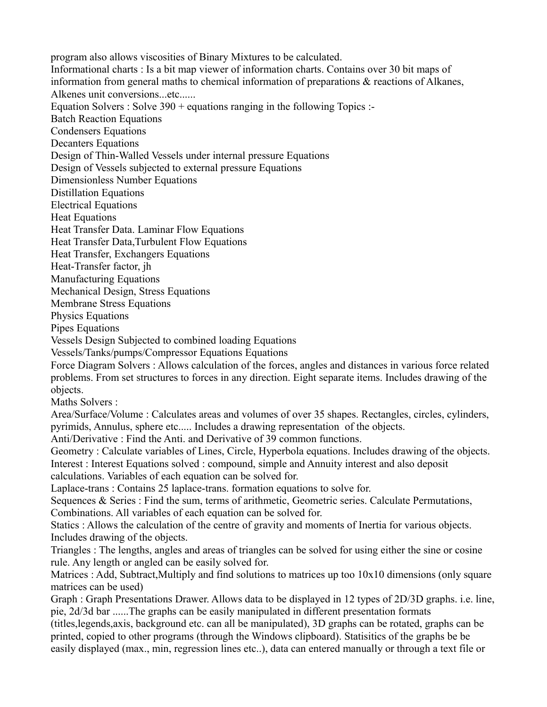program also allows viscosities of Binary Mixtures to be calculated. Informational charts : Is a bit map viewer of information charts. Contains over 30 bit maps of information from general maths to chemical information of preparations  $\&$  reactions of Alkanes, Alkenes unit conversions...etc...... Equation Solvers : Solve  $390 +$  equations ranging in the following Topics :-Batch Reaction Equations Condensers Equations Decanters Equations Design of Thin-Walled Vessels under internal pressure Equations Design of Vessels subjected to external pressure Equations Dimensionless Number Equations Distillation Equations Electrical Equations Heat Equations Heat Transfer Data. Laminar Flow Equations Heat Transfer Data,Turbulent Flow Equations Heat Transfer, Exchangers Equations Heat-Transfer factor, jh Manufacturing Equations Mechanical Design, Stress Equations Membrane Stress Equations Physics Equations Pipes Equations Vessels Design Subjected to combined loading Equations Vessels/Tanks/pumps/Compressor Equations Equations Force Diagram Solvers : Allows calculation of the forces, angles and distances in various force related problems. From set structures to forces in any direction. Eight separate items. Includes drawing of the objects. Maths Solvers : Area/Surface/Volume : Calculates areas and volumes of over 35 shapes. Rectangles, circles, cylinders, pyrimids, Annulus, sphere etc..... Includes a drawing representation of the objects. Anti/Derivative : Find the Anti. and Derivative of 39 common functions. Geometry : Calculate variables of Lines, Circle, Hyperbola equations. Includes drawing of the objects. Interest : Interest Equations solved : compound, simple and Annuity interest and also deposit calculations. Variables of each equation can be solved for. Laplace-trans : Contains 25 laplace-trans. formation equations to solve for. Sequences & Series : Find the sum, terms of arithmetic, Geometric series. Calculate Permutations, Combinations. All variables of each equation can be solved for. Statics : Allows the calculation of the centre of gravity and moments of Inertia for various objects. Includes drawing of the objects. Triangles : The lengths, angles and areas of triangles can be solved for using either the sine or cosine rule. Any length or angled can be easily solved for. Matrices : Add, Subtract, Multiply and find solutions to matrices up too 10x10 dimensions (only square matrices can be used) Graph : Graph Presentations Drawer. Allows data to be displayed in 12 types of 2D/3D graphs. i.e. line, pie, 2d/3d bar ......The graphs can be easily manipulated in different presentation formats (titles,legends,axis, background etc. can all be manipulated), 3D graphs can be rotated, graphs can be printed, copied to other programs (through the Windows clipboard). Statisitics of the graphs be be easily displayed (max., min, regression lines etc..), data can entered manually or through a text file or